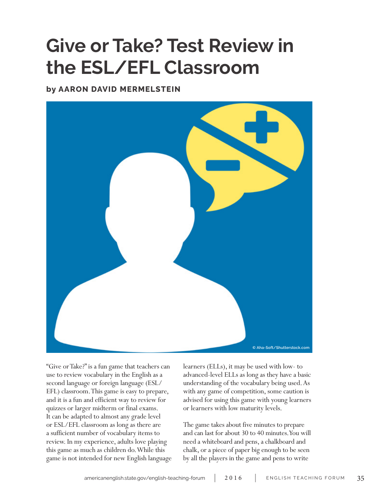# **Give or Take? Test Review in the ESL/EFL Classroom**

**by AARON DAVID MERMELSTEIN**



"Give or Take?" is a fun game that teachers can use to review vocabulary in the English as a second language or foreign language (ESL/ EFL) classroom. This game is easy to prepare, and it is a fun and efficient way to review for quizzes or larger midterm or final exams. It can be adapted to almost any grade level or ESL/EFL classroom as long as there are a sufficient number of vocabulary items to review. In my experience, adults love playing this game as much as children do. While this game is not intended for new English language learners (ELLs), it may be used with low- to advanced-level ELLs as long as they have a basic understanding of the vocabulary being used. As with any game of competition, some caution is advised for using this game with young learners or learners with low maturity levels.

The game takes about five minutes to prepare and can last for about 30 to 40 minutes. You will need a whiteboard and pens, a chalkboard and chalk, or a piece of paper big enough to be seen by all the players in the game and pens to write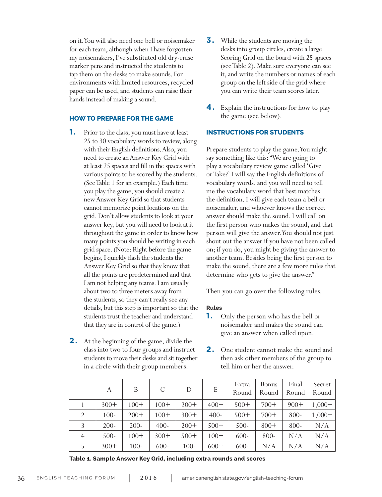on it. You will also need one bell or noisemaker for each team, although when I have forgotten my noisemakers, I've substituted old dry-erase marker pens and instructed the students to tap them on the desks to make sounds. For environments with limited resources, recycled paper can be used, and students can raise their hands instead of making a sound.

# **HOW TO PREPARE FOR THE GAME**

- **1.** Prior to the class, you must have at least 25 to 30 vocabulary words to review, along with their English definitions. Also, you need to create an Answer Key Grid with at least 25 spaces and fill in the spaces with various points to be scored by the students. (See Table 1 for an example.) Each time you play the game, you should create a new Answer Key Grid so that students cannot memorize point locations on the grid. Don't allow students to look at your answer key, but you will need to look at it throughout the game in order to know how many points you should be writing in each grid space. (Note: Right before the game begins, I quickly flash the students the Answer Key Grid so that they know that all the points are predetermined and that I am not helping any teams. I am usually about two to three meters away from the students, so they can't really see any details, but this step is important so that the students trust the teacher and understand that they are in control of the game.)
- **2.** At the beginning of the game, divide the class into two to four groups and instruct students to move their desks and sit together in a circle with their group members.
- **3.** While the students are moving the desks into group circles, create a large Scoring Grid on the board with 25 spaces (see Table 2). Make sure everyone can see it, and write the numbers or names of each group on the left side of the grid where you can write their team scores later.
- **4.** Explain the instructions for how to play the game (see below).

# **INSTRUCTIONS FOR STUDENTS**

Prepare students to play the game. You might say something like this: "We are going to play a vocabulary review game called 'Give or Take?' I will say the English definitions of vocabulary words, and you will need to tell me the vocabulary word that best matches the definition. I will give each team a bell or noisemaker, and whoever knows the correct answer should make the sound. I will call on the first person who makes the sound, and that person will give the answer. You should not just shout out the answer if you have not been called on; if you do, you might be giving the answer to another team. Besides being the first person to make the sound, there are a few more rules that determine who gets to give the answer."

Then you can go over the following rules.

## **Rules**

- **1.** Only the person who has the bell or noisemaker and makes the sound can give an answer when called upon.
- **2.** One student cannot make the sound and then ask other members of the group to tell him or her the answer.

|                | A       | B       | C       | D       | E       | Extra<br>Round | Bonus<br>Round | Final<br>Round | Secret<br>Round |
|----------------|---------|---------|---------|---------|---------|----------------|----------------|----------------|-----------------|
|                | $300+$  | $100+$  | $100+$  | $200+$  | $400+$  | $500+$         | $700+$         | $900+$         | $1,000+$        |
| 2              | $100-$  | $200+$  | $100+$  | $300+$  | $400 -$ | $500+$         | $700+$         | 800-           | $1,000+$        |
| 3              | $200 -$ | $200-$  | $400 -$ | $200+$  | $500+$  | $500 -$        | $800+$         | 800-           | N/A             |
| $\overline{4}$ | $500 -$ | $100+$  | $300+$  | $500+$  | $100+$  | $600 -$        | 800-           | N/A            | N/A             |
|                | $300+$  | $100 -$ | $600 -$ | $100 -$ | $600+$  | $600 -$        | N/A            | N/A            | N/A             |

**Table 1. Sample Answer Key Grid, including extra rounds and scores**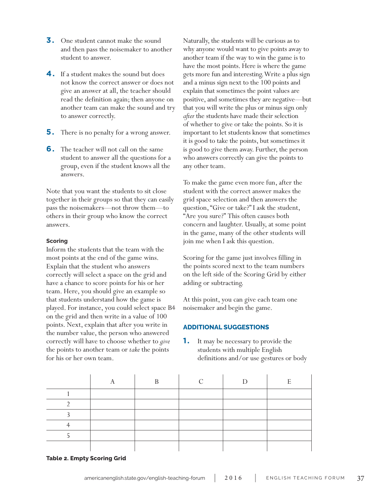- **3.** One student cannot make the sound and then pass the noisemaker to another student to answer.
- **4.** If a student makes the sound but does not know the correct answer or does not give an answer at all, the teacher should read the definition again; then anyone on another team can make the sound and try to answer correctly.
- **5.** There is no penalty for a wrong answer.
- **6.** The teacher will not call on the same student to answer all the questions for a group, even if the student knows all the answers.

Note that you want the students to sit close together in their groups so that they can easily pass the noisemakers—not throw them—to others in their group who know the correct answers.

## **Scoring**

Inform the students that the team with the most points at the end of the game wins. Explain that the student who answers correctly will select a space on the grid and have a chance to score points for his or her team. Here, you should give an example so that students understand how the game is played. For instance, you could select space B4 on the grid and then write in a value of 100 points. Next, explain that after you write in the number value, the person who answered correctly will have to choose whether to *give* the points to another team or *take* the points for his or her own team.

Naturally, the students will be curious as to why anyone would want to give points away to another team if the way to win the game is to have the most points. Here is where the game gets more fun and interesting. Write a plus sign and a minus sign next to the 100 points and explain that sometimes the point values are positive, and sometimes they are negative—but that you will write the plus or minus sign only *after* the students have made their selection of whether to give or take the points. So it is important to let students know that sometimes it is good to take the points, but sometimes it is good to give them away. Further, the person who answers correctly can give the points to any other team.

To make the game even more fun, after the student with the correct answer makes the grid space selection and then answers the question, "Give or take?" I ask the student, "Are you sure?" This often causes both concern and laughter. Usually, at some point in the game, many of the other students will join me when I ask this question.

Scoring for the game just involves filling in the points scored next to the team numbers on the left side of the Scoring Grid by either adding or subtracting.

At this point, you can give each team one noisemaker and begin the game.

# **ADDITIONAL SUGGESTIONS**

**1.** It may be necessary to provide the students with multiple English definitions and/or use gestures or body

|  | D |  | н |
|--|---|--|---|
|  |   |  |   |
|  |   |  |   |
|  |   |  |   |
|  |   |  |   |
|  |   |  |   |
|  |   |  |   |

**Table 2. Empty Scoring Grid**